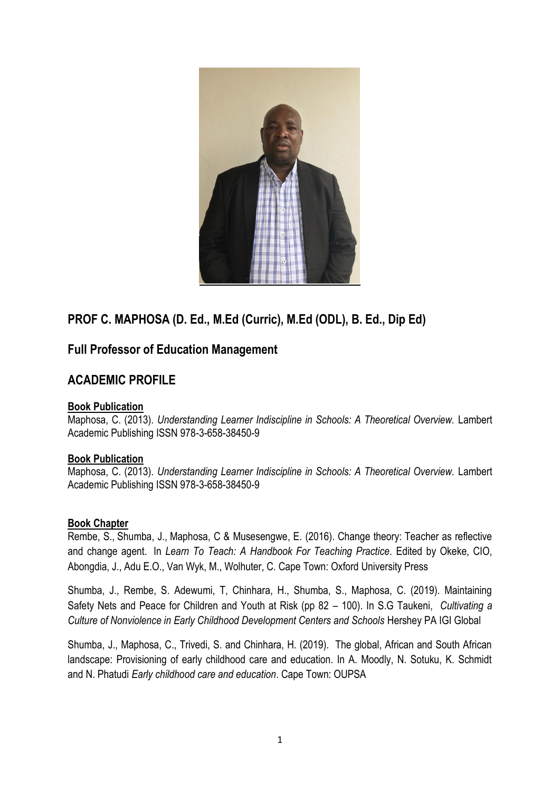

# **PROF C. MAPHOSA (D. Ed., M.Ed (Curric), M.Ed (ODL), B. Ed., Dip Ed)**

## **Full Professor of Education Management**

## **ACADEMIC PROFILE**

#### **Book Publication**

Maphosa, C. (2013). *Understanding Learner Indiscipline in Schools: A Theoretical Overview.* Lambert Academic Publishing ISSN 978-3-658-38450-9

#### **Book Publication**

Maphosa, C. (2013). *Understanding Learner Indiscipline in Schools: A Theoretical Overview.* Lambert Academic Publishing ISSN 978-3-658-38450-9

#### **Book Chapter**

Rembe, S., Shumba, J., Maphosa, C & Musesengwe, E. (2016). Change theory: Teacher as reflective and change agent. In *Learn To Teach: A Handbook For Teaching Practice*. Edited by Okeke, CIO, Abongdia, J., Adu E.O., Van Wyk, M., Wolhuter, C. Cape Town: Oxford University Press

Shumba, J., Rembe, S. Adewumi, T, Chinhara, H., Shumba, S., Maphosa, C. (2019). Maintaining Safety Nets and Peace for Children and Youth at Risk (pp 82 – 100). In S.G Taukeni, *Cultivating a Culture of Nonviolence in Early Childhood Development Centers and Schools* Hershey PA IGI Global

Shumba, J., Maphosa, C., Trivedi, S. and Chinhara, H. (2019). The global, African and South African landscape: Provisioning of early childhood care and education. In A. Moodly, N. Sotuku, K. Schmidt and N. Phatudi *Early childhood care and education*. Cape Town: OUPSA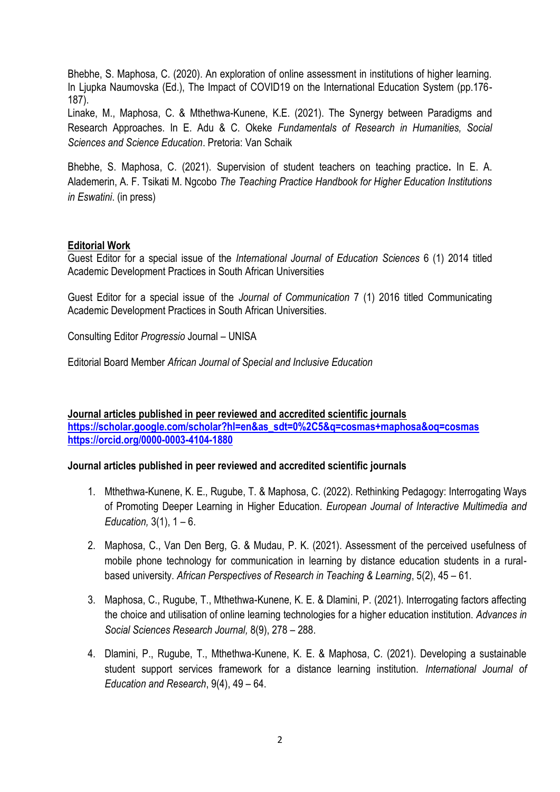Bhebhe, S. Maphosa, C. (2020). An exploration of online assessment in institutions of higher learning. In Ljupka Naumovska (Ed.), The Impact of COVID19 on the International Education System (pp.176- 187).

Linake, M., Maphosa, C. & Mthethwa-Kunene, K.E. (2021). The Synergy between Paradigms and Research Approaches. In E. Adu & C. Okeke *Fundamentals of Research in Humanities, Social Sciences and Science Education*. Pretoria: Van Schaik

Bhebhe, S. Maphosa, C. (2021). Supervision of student teachers on teaching practice**.** In E. A. Alademerin, A. F. Tsikati M. Ngcobo *The Teaching Practice Handbook for Higher Education Institutions in Eswatini*. (in press)

#### **Editorial Work**

Guest Editor for a special issue of the *International Journal of Education Sciences* 6 (1) 2014 titled Academic Development Practices in South African Universities

Guest Editor for a special issue of the *Journal of Communication* 7 (1) 2016 titled Communicating Academic Development Practices in South African Universities.

Consulting Editor *Progressio* Journal – UNISA

Editorial Board Member *African Journal of Special and Inclusive Education*

**Journal articles published in peer reviewed and accredited scientific journals [https://scholar.google.com/scholar?hl=en&as\\_sdt=0%2C5&q=cosmas+maphosa&oq=cosmas](https://scholar.google.com/scholar?hl=en&as_sdt=0%2C5&q=cosmas+maphosa&oq=cosmas) <https://orcid.org/0000-0003-4104-1880>**

#### **Journal articles published in peer reviewed and accredited scientific journals**

- 1. Mthethwa-Kunene, K. E., Rugube, T. & Maphosa, C. (2022). Rethinking Pedagogy: Interrogating Ways of Promoting Deeper Learning in Higher Education. *European Journal of Interactive Multimedia and Education,* 3(1), 1 – 6.
- 2. Maphosa, C., Van Den Berg, G. & Mudau, P. K. (2021). Assessment of the perceived usefulness of mobile phone technology for communication in learning by distance education students in a ruralbased university. *African Perspectives of Research in Teaching & Learning*, 5(2), 45 – 61.
- 3. Maphosa, C., Rugube, T., Mthethwa-Kunene, K. E. & Dlamini, P. (2021). Interrogating factors affecting the choice and utilisation of online learning technologies for a higher education institution. *Advances in Social Sciences Research Journal,* 8(9), 278 – 288.
- 4. Dlamini, P., Rugube, T., Mthethwa-Kunene, K. E. & Maphosa, C. (2021). Developing a sustainable student support services framework for a distance learning institution. *International Journal of Education and Research*, 9(4), 49 – 64.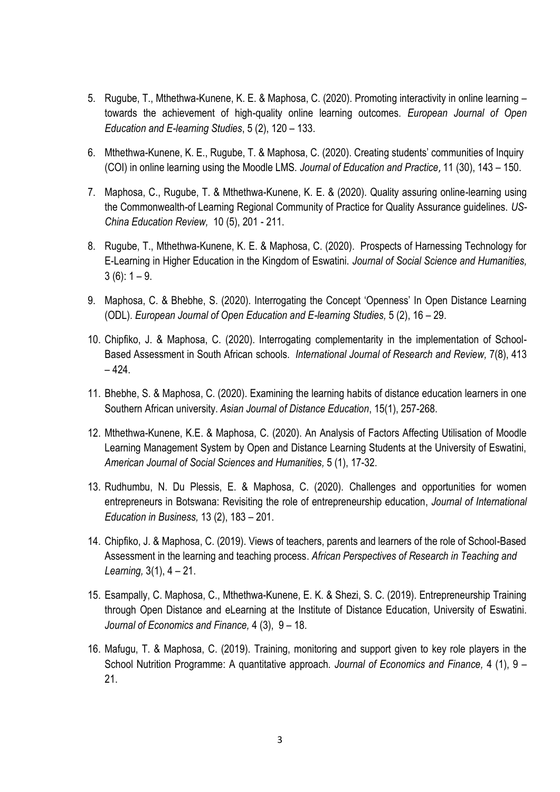- 5. Rugube, T., Mthethwa-Kunene, K. E. & Maphosa, C. (2020). Promoting interactivity in online learning towards the achievement of high-quality online learning outcomes. *European Journal of Open Education and E-learning Studies*, 5 (2), 120 – 133.
- 6. Mthethwa-Kunene, K. E., Rugube, T. & Maphosa, C. (2020). Creating students" communities of Inquiry (COI) in online learning using the Moodle LMS. *Journal of Education and Practice*, 11 (30), 143 – 150.
- 7. Maphosa, C., Rugube, T. & Mthethwa-Kunene, K. E. & (2020). Quality assuring online-learning using the Commonwealth-of Learning Regional Community of Practice for Quality Assurance guidelines. *US-China Education Review,* 10 (5), 201 - 211.
- 8. Rugube, T., Mthethwa-Kunene, K. E. & Maphosa, C. (2020). Prospects of Harnessing Technology for E-Learning in Higher Education in the Kingdom of Eswatini. *Journal of Social Science and Humanities,*  $3(6)$ : 1 – 9.
- 9. Maphosa, C. & Bhebhe, S. (2020). Interrogating the Concept "Openness" In Open Distance Learning (ODL). *European Journal of Open Education and E-learning Studies,* 5 (2), 16 – 29.
- 10. Chipfiko, J. & Maphosa, C. (2020). Interrogating complementarity in the implementation of School-Based Assessment in South African schools. *International Journal of Research and Review,* 7(8), 413  $-424.$
- 11. Bhebhe, S. & Maphosa, C. (2020). Examining the learning habits of distance education learners in one Southern African university. *Asian Journal of Distance Education*, 15(1), 257-268.
- 12. Mthethwa-Kunene, K.E. & Maphosa, C. (2020). An Analysis of Factors Affecting Utilisation of Moodle Learning Management System by Open and Distance Learning Students at the University of Eswatini, *American Journal of Social Sciences and Humanities,* 5 (1), 17-32.
- 13. Rudhumbu, N. Du Plessis, E. & Maphosa, C. (2020). Challenges and opportunities for women entrepreneurs in Botswana: Revisiting the role of entrepreneurship education, *Journal of International Education in Business,* 13 (2), 183 – 201.
- 14. Chipfiko, J. & Maphosa, C. (2019). Views of teachers, parents and learners of the role of School-Based Assessment in the learning and teaching process. *African Perspectives of Research in Teaching and Learning,* 3(1), 4 – 21.
- 15. Esampally, C. Maphosa, C., Mthethwa-Kunene, E. K. & Shezi, S. C. (2019). Entrepreneurship Training through Open Distance and eLearning at the Institute of Distance Education, University of Eswatini. *Journal of Economics and Finance,* 4 (3), 9 – 18.
- 16. Mafugu, T. & Maphosa, C. (2019). Training, monitoring and support given to key role players in the School Nutrition Programme: A quantitative approach. *Journal of Economics and Finance,* 4 (1), 9 – 21.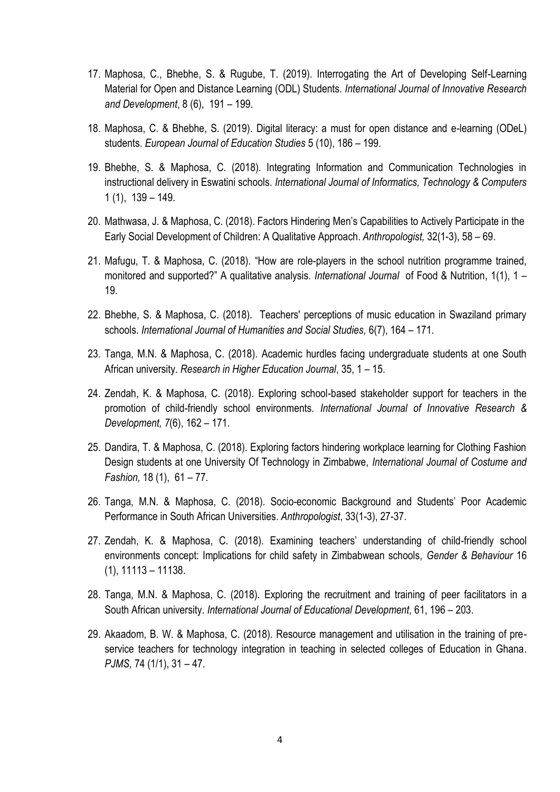- 17. Maphosa, C., Bhebhe, S. & Rugube, T. (2019). Interrogating the Art of Developing Self-Learning Material for Open and Distance Learning (ODL) Students. *International Journal of Innovative Research and Development*, 8 (6), 191 – 199.
- 18. Maphosa, C. & Bhebhe, S. (2019). Digital literacy: a must for open distance and e-learning (ODeL) students. *European Journal of Education Studies* 5 (10), 186 – 199.
- 19. Bhebhe, S. & Maphosa, C. (2018). Integrating Information and Communication Technologies in instructional delivery in Eswatini schools. *International Journal of Informatics, Technology & Computers* 1 (1), 139 – 149.
- 20. Mathwasa, J. & Maphosa, C. (2018). Factors Hindering Men"s Capabilities to Actively Participate in the Early Social Development of Children: A Qualitative Approach. *Anthropologist,* 32(1-3), 58 – 69.
- 21. Mafugu, T. & Maphosa, C. (2018). "How are role-players in the school nutrition programme trained, monitored and supported?" A qualitative analysis. *International Journal* of Food & Nutrition, 1(1), 1 – 19.
- 22. Bhebhe, S. & Maphosa, C. (2018). Teachers' perceptions of music education in Swaziland primary schools. *International Journal of Humanities and Social Studies,* 6(7), 164 – 171.
- 23. Tanga, M.N. & Maphosa, C. (2018). Academic hurdles facing undergraduate students at one South African university. *Research in Higher Education Journal*, 35, 1 – 15.
- 24. Zendah, K. & Maphosa, C. (2018). Exploring school-based stakeholder support for teachers in the promotion of child-friendly school environments. *International Journal of Innovative Research & Development, 7*(6), 162 – 171.
- 25. Dandira, T. & Maphosa, C. (2018). Exploring factors hindering workplace learning for Clothing Fashion Design students at one University Of Technology in Zimbabwe, *International Journal of Costume and Fashion,* 18 (1), 61 – 77.
- 26. Tanga, M.N. & Maphosa, C. (2018). Socio-economic Background and Students" Poor Academic Performance in South African Universities. *Anthropologist*, 33(1-3), 27-37.
- 27. Zendah, K. & Maphosa, C. (2018). Examining teachers" understanding of child-friendly school environments concept: Implications for child safety in Zimbabwean schools, *Gender & Behaviour* 16 (1), 11113 – 11138.
- 28. Tanga, M.N. & Maphosa, C. (2018). Exploring the recruitment and training of peer facilitators in a South African university. *International Journal of Educational Development,* 61, 196 – 203.
- 29. Akaadom, B. W. & Maphosa, C. (2018). Resource management and utilisation in the training of preservice teachers for technology integration in teaching in selected colleges of Education in Ghana. *PJMS,* 74 (1/1), 31 – 47.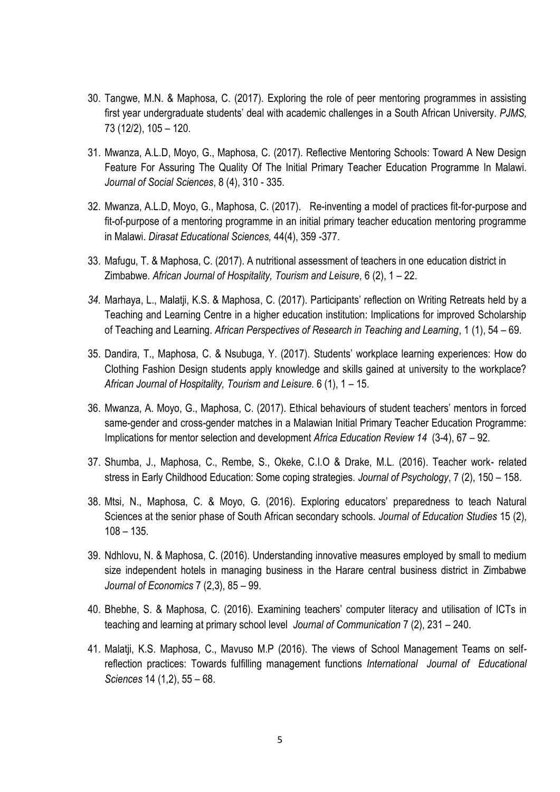- 30. Tangwe, M.N. & Maphosa, C. (2017). Exploring the role of peer mentoring programmes in assisting first year undergraduate students" deal with academic challenges in a South African University. *PJMS,*  73 (12/2), 105 – 120.
- 31. Mwanza, A.L.D, Moyo, G., Maphosa, C. (2017). Reflective Mentoring Schools: Toward A New Design Feature For Assuring The Quality Of The Initial Primary Teacher Education Programme In Malawi. *Journal of Social Sciences*, 8 (4), 310 - 335.
- 32. Mwanza, A.L.D, Moyo, G., Maphosa, C. (2017). Re-inventing a model of practices fit-for-purpose and fit-of-purpose of a mentoring programme in an initial primary teacher education mentoring programme in Malawi. *Dirasat Educational Sciences,* 44(4), 359 -377.
- 33. Mafugu, T. & Maphosa, C. (2017). A nutritional assessment of teachers in one education district in Zimbabwe. *African Journal of Hospitality, Tourism and Leisure,* 6 (2), 1 – 22.
- *34.* Marhaya, L., Malatji, K.S. & Maphosa, C. (2017). Participants" reflection on Writing Retreats held by a Teaching and Learning Centre in a higher education institution: Implications for improved Scholarship of Teaching and Learning. *African Perspectives of Research in Teaching and Learning*, 1 (1), 54 – 69.
- 35. Dandira, T., Maphosa, C. & Nsubuga, Y. (2017). Students" workplace learning experiences: How do Clothing Fashion Design students apply knowledge and skills gained at university to the workplace? *African Journal of Hospitality, Tourism and Leisure.* 6 (1), 1 – 15.
- 36. Mwanza, A. Moyo, G., Maphosa, C. (2017). Ethical behaviours of student teachers" mentors in forced same-gender and cross-gender matches in a Malawian Initial Primary Teacher Education Programme: Implications for mentor selection and development *Africa Education Review 14* (3-4), 67 – 92.
- 37. Shumba, J., Maphosa, C., Rembe, S., Okeke, C.I.O & Drake, M.L. (2016). Teacher work- related stress in Early Childhood Education: Some coping strategies. *Journal of Psychology*, 7 (2), 150 – 158.
- 38. Mtsi, N., Maphosa, C. & Moyo, G. (2016). Exploring educators" preparedness to teach Natural Sciences at the senior phase of South African secondary schools. *Journal of Education Studies* 15 (2),  $108 - 135.$
- 39. Ndhlovu, N. & Maphosa, C. (2016). Understanding innovative measures employed by small to medium size independent hotels in managing business in the Harare central business district in Zimbabwe *Journal of Economics* 7 (2,3), 85 – 99.
- 40. Bhebhe, S. & Maphosa, C. (2016). Examining teachers" computer literacy and utilisation of ICTs in teaching and learning at primary school level *Journal of Communication* 7 (2), 231 – 240.
- 41. Malatji, K.S. Maphosa, C., Mavuso M.P (2016). The views of School Management Teams on selfreflection practices: Towards fulfilling management functions *International Journal of Educational Sciences* 14 (1,2), 55 – 68.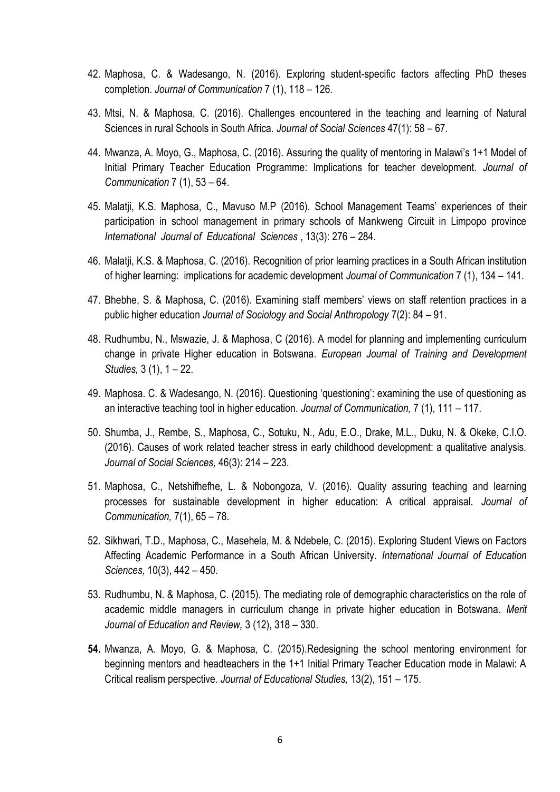- 42. Maphosa, C. & Wadesango, N. (2016). Exploring student-specific factors affecting PhD theses completion. *Journal of Communication* 7 (1), 118 – 126.
- 43. Mtsi, N. & Maphosa, C. (2016). Challenges encountered in the teaching and learning of Natural Sciences in rural Schools in South Africa. *Journal of Social Sciences* 47(1): 58 – 67.
- 44. Mwanza, A. Moyo, G., Maphosa, C. (2016). Assuring the quality of mentoring in Malawi"s 1+1 Model of Initial Primary Teacher Education Programme: Implications for teacher development. *Journal of Communication* 7 (1), 53 – 64.
- 45. Malatji, K.S. Maphosa, C., Mavuso M.P (2016). School Management Teams" experiences of their participation in school management in primary schools of Mankweng Circuit in Limpopo province *International Journal of Educational Sciences* , 13(3): 276 – 284.
- 46. Malatji, K.S. & Maphosa, C. (2016). Recognition of prior learning practices in a South African institution of higher learning: implications for academic development *Journal of Communication* 7 (1), 134 – 141.
- 47. Bhebhe, S. & Maphosa, C. (2016). Examining staff members" views on staff retention practices in a public higher education *Journal of Sociology and Social Anthropology* 7(2): 84 – 91.
- 48. Rudhumbu, N., Mswazie, J. & Maphosa, C (2016). A model for planning and implementing curriculum change in private Higher education in Botswana. *European Journal of Training and Development Studies,* 3 (1), 1 – 22.
- 49. Maphosa. C. & Wadesango, N. (2016). Questioning "questioning": examining the use of questioning as an interactive teaching tool in higher education. *Journal of Communication,* 7 (1), 111 – 117.
- 50. Shumba, J., Rembe, S., Maphosa, C., Sotuku, N., Adu, E.O., Drake, M.L., Duku, N. & Okeke, C.I.O. (2016). Causes of work related teacher stress in early childhood development: a qualitative analysis. *Journal of Social Sciences,* 46(3): 214 – 223.
- 51. Maphosa, C., Netshifhefhe, L. & Nobongoza, V. (2016). Quality assuring teaching and learning processes for sustainable development in higher education: A critical appraisal. *Journal of Communication,* 7(1), 65 – 78.
- 52. Sikhwari, T.D., Maphosa, C., Masehela, M. & Ndebele, C. (2015). Exploring Student Views on Factors Affecting Academic Performance in a South African University. *International Journal of Education Sciences,* 10(3), 442 – 450.
- 53. Rudhumbu, N. & Maphosa, C. (2015). The mediating role of demographic characteristics on the role of academic middle managers in curriculum change in private higher education in Botswana. *Merit Journal of Education and Review,* 3 (12), 318 – 330.
- **54.** Mwanza, A. Moyo, G. & Maphosa, C. (2015).Redesigning the school mentoring environment for beginning mentors and headteachers in the 1+1 Initial Primary Teacher Education mode in Malawi: A Critical realism perspective. *Journal of Educational Studies,* 13(2), 151 – 175.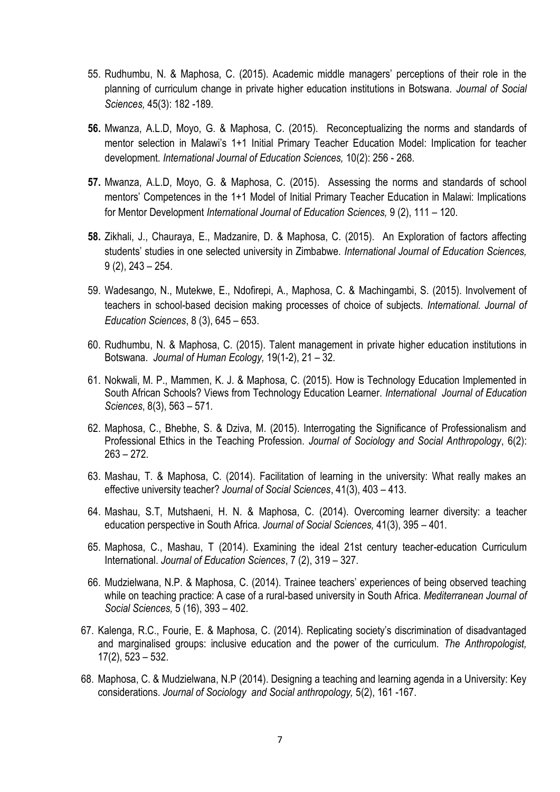- 55. Rudhumbu, N. & Maphosa, C. (2015). Academic middle managers" perceptions of their role in the planning of curriculum change in private higher education institutions in Botswana. *Journal of Social Sciences,* 45(3): 182 -189.
- **56.** Mwanza, A.L.D, Moyo, G. & Maphosa, C. (2015). Reconceptualizing the norms and standards of mentor selection in Malawi"s 1+1 Initial Primary Teacher Education Model: Implication for teacher development. *International Journal of Education Sciences,* 10(2): 256 - 268.
- **57.** Mwanza, A.L.D, Moyo, G. & Maphosa, C. (2015). Assessing the norms and standards of school mentors" Competences in the 1+1 Model of Initial Primary Teacher Education in Malawi: Implications for Mentor Development *International Journal of Education Sciences,* 9 (2), 111 – 120.
- **58.** Zikhali, J., Chauraya, E., Madzanire, D. & Maphosa, C. (2015). An Exploration of factors affecting students" studies in one selected university in Zimbabwe. *International Journal of Education Sciences,* 9 (2), 243 – 254.
- 59. Wadesango, N., Mutekwe, E., Ndofirepi, A., Maphosa, C. & Machingambi, S. (2015). Involvement of teachers in school-based decision making processes of choice of subjects. *International. Journal of Education Sciences*, 8 (3), 645 – 653.
- 60. Rudhumbu, N. & Maphosa, C. (2015). Talent management in private higher education institutions in Botswana. *Journal of Human Ecology,* 19(1-2), 21 – 32.
- 61. Nokwali, M. P., Mammen, K. J. & Maphosa, C. (2015). How is Technology Education Implemented in South African Schools? Views from Technology Education Learner. *International Journal of Education Sciences*, 8(3), 563 – 571.
- 62. Maphosa, C., Bhebhe, S. & Dziva, M. (2015). Interrogating the Significance of Professionalism and Professional Ethics in the Teaching Profession. *Journal of Sociology and Social Anthropology*, 6(2):  $263 - 272$ .
- 63. Mashau, T. & Maphosa, C. (2014). Facilitation of learning in the university: What really makes an effective university teacher? *Journal of Social Sciences*, 41(3), 403 – 413.
- 64. Mashau, S.T, Mutshaeni, H. N. & Maphosa, C. (2014). Overcoming learner diversity: a teacher education perspective in South Africa. *Journal of Social Sciences,* 41(3), 395 – 401.
- 65. Maphosa, C., Mashau, T (2014). Examining the ideal 21st century teacher-education Curriculum International. *Journal of Education Sciences*, 7 (2), 319 – 327.
- 66. Mudzielwana, N.P. & Maphosa, C. (2014). Trainee teachers" experiences of being observed teaching while on teaching practice: A case of a rural-based university in South Africa. *Mediterranean Journal of Social Sciences,* 5 (16), 393 – 402.
- 67. Kalenga, R.C., Fourie, E. & Maphosa, C. (2014). Replicating society"s discrimination of disadvantaged and marginalised groups: inclusive education and the power of the curriculum. *The Anthropologist,* 17(2), 523 – 532.
- 68. Maphosa, C. & Mudzielwana, N.P (2014). Designing a teaching and learning agenda in a University: Key considerations. *Journal of Sociology and Social anthropology,* 5(2), 161 -167.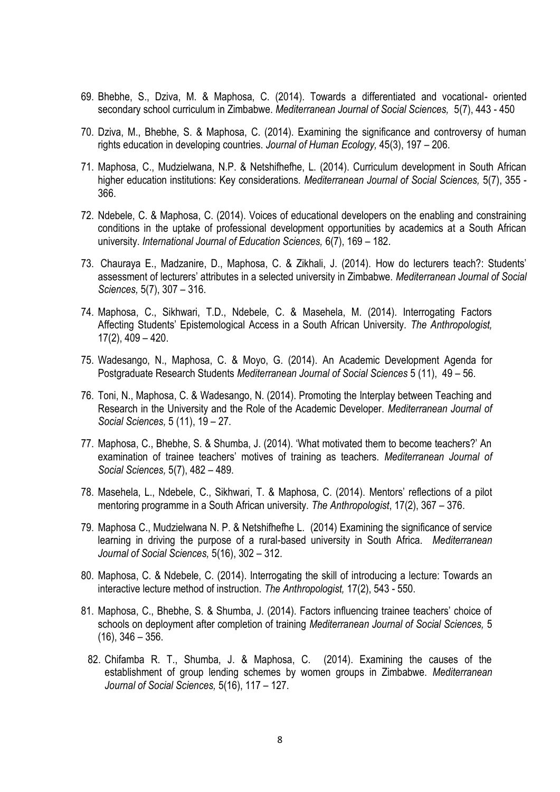- 69. Bhebhe, S., Dziva, M. & Maphosa, C. (2014). Towards a differentiated and vocational- oriented secondary school curriculum in Zimbabwe. *Mediterranean Journal of Social Sciences,* 5(7), 443 - 450
- 70. Dziva, M., Bhebhe, S. & Maphosa, C. (2014). Examining the significance and controversy of human rights education in developing countries. *Journal of Human Ecology,* 45(3), 197 – 206.
- 71. Maphosa, C., Mudzielwana, N.P. & Netshifhefhe, L. (2014). Curriculum development in South African higher education institutions: Key considerations. *Mediterranean Journal of Social Sciences,* 5(7), 355 - 366.
- 72. Ndebele, C. & Maphosa, C. (2014). Voices of educational developers on the enabling and constraining conditions in the uptake of professional development opportunities by academics at a South African university. *International Journal of Education Sciences,* 6(7), 169 – 182.
- 73. Chauraya E., Madzanire, D., Maphosa, C. & Zikhali, J. (2014). How do lecturers teach?: Students" assessment of lecturers" attributes in a selected university in Zimbabwe. *Mediterranean Journal of Social Sciences,* 5(7), 307 – 316.
- 74. Maphosa, C., Sikhwari, T.D., Ndebele, C. & Masehela, M. (2014). Interrogating Factors Affecting Students" Epistemological Access in a South African University. *The Anthropologist,* 17(2), 409 – 420.
- 75. Wadesango, N., Maphosa, C. & Moyo, G. (2014). An Academic Development Agenda for Postgraduate Research Students *Mediterranean Journal of Social Sciences* 5 (11), 49 – 56.
- 76. Toni, N., Maphosa, C. & Wadesango, N. (2014). Promoting the Interplay between Teaching and Research in the University and the Role of the Academic Developer. *Mediterranean Journal of Social Sciences,* 5 (11), 19 – 27.
- 77. Maphosa, C., Bhebhe, S. & Shumba, J. (2014). "What motivated them to become teachers?" An examination of trainee teachers" motives of training as teachers. *Mediterranean Journal of Social Sciences,* 5(7), 482 – 489.
- 78. Masehela, L., Ndebele, C., Sikhwari, T. & Maphosa, C. (2014). Mentors" reflections of a pilot mentoring programme in a South African university. *The Anthropologist*, 17(2), 367 – 376.
- 79. Maphosa C., Mudzielwana N. P. & Netshifhefhe L. (2014) Examining the significance of service learning in driving the purpose of a rural-based university in South Africa. *Mediterranean Journal of Social Sciences,* 5(16), 302 – 312.
- 80. Maphosa, C. & Ndebele, C. (2014). Interrogating the skill of introducing a lecture: Towards an interactive lecture method of instruction. *The Anthropologist,* 17(2), 543 - 550.
- 81. Maphosa, C., Bhebhe, S. & Shumba, J. (2014). Factors influencing trainee teachers" choice of schools on deployment after completion of training *Mediterranean Journal of Social Sciences,* 5  $(16)$ , 346 – 356.
- 82. Chifamba R. T., Shumba, J. & Maphosa, C. (2014). Examining the causes of the establishment of group lending schemes by women groups in Zimbabwe. *Mediterranean Journal of Social Sciences,* 5(16), 117 – 127.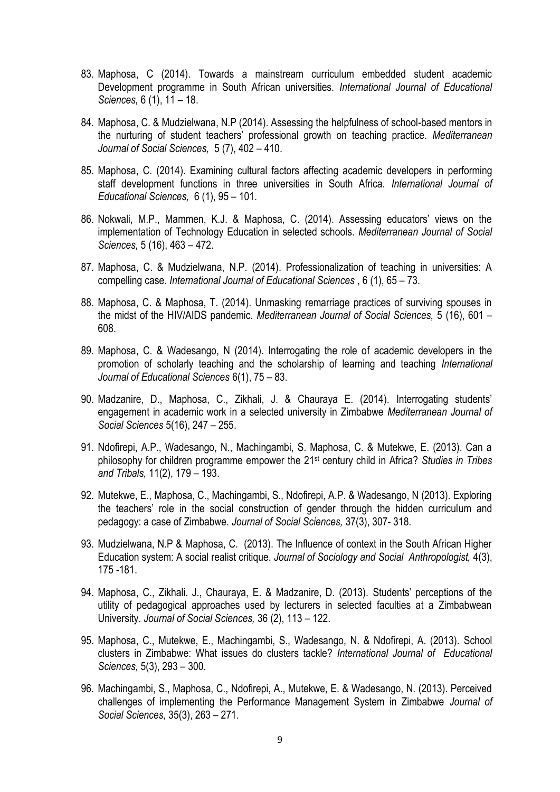- 83. Maphosa, C (2014). Towards a mainstream curriculum embedded student academic Development programme in South African universities. *International Journal of Educational Sciences,* 6 (1), 11 – 18.
- 84. Maphosa, C. & Mudzielwana, N.P (2014). Assessing the helpfulness of school-based mentors in the nurturing of student teachers" professional growth on teaching practice. *Mediterranean Journal of Social Sciences,* 5 (7), 402 – 410.
- 85. Maphosa, C. (2014). Examining cultural factors affecting academic developers in performing staff development functions in three universities in South Africa. *International Journal of Educational Sciences,* 6 (1), 95 – 101.
- 86. Nokwali, M.P., Mammen, K.J. & Maphosa, C. (2014). Assessing educators' views on the implementation of Technology Education in selected schools. *Mediterranean Journal of Social Sciences,* 5 (16), 463 – 472.
- 87. Maphosa, C. & Mudzielwana, N.P. (2014). Professionalization of teaching in universities: A compelling case. *International Journal of Educational Sciences* , 6 (1), 65 – 73.
- 88. Maphosa, C. & Maphosa, T. (2014). Unmasking remarriage practices of surviving spouses in the midst of the HIV/AIDS pandemic. *Mediterranean Journal of Social Sciences,* 5 (16), 601 – 608.
- 89. Maphosa, C. & Wadesango, N (2014). Interrogating the role of academic developers in the promotion of scholarly teaching and the scholarship of learning and teaching *International Journal of Educational Sciences* 6(1), 75 – 83.
- 90. Madzanire, D., Maphosa, C., Zikhali, J. & Chauraya E. (2014). Interrogating students" engagement in academic work in a selected university in Zimbabwe *Mediterranean Journal of Social Sciences* 5(16), 247 – 255.
- 91. Ndofirepi, A.P., Wadesango, N., Machingambi, S. Maphosa, C. & Mutekwe, E. (2013). Can a philosophy for children programme empower the 21st century child in Africa? *Studies in Tribes and Tribals,* 11(2), 179 – 193.
- 92. Mutekwe, E., Maphosa, C., Machingambi, S., Ndofirepi, A.P. & Wadesango, N (2013). Exploring the teachers" role in the social construction of gender through the hidden curriculum and pedagogy: a case of Zimbabwe. *Journal of Social Sciences,* 37(3), 307- 318.
- 93. Mudzielwana, N.P & Maphosa, C. (2013). The Influence of context in the South African Higher Education system: A social realist critique. *Journal of Sociology and Social Anthropologist,* 4(3), 175 -181.
- 94. Maphosa, C., Zikhali. J., Chauraya, E. & Madzanire, D. (2013). Students" perceptions of the utility of pedagogical approaches used by lecturers in selected faculties at a Zimbabwean University. *Journal of Social Sciences,* 36 (2), 113 – 122.
- 95. Maphosa, C., Mutekwe, E., Machingambi, S., Wadesango, N. & Ndofirepi, A. (2013). School clusters in Zimbabwe: What issues do clusters tackle? *International Journal of Educational Sciences,* 5(3), 293 – 300.
- 96. Machingambi, S., Maphosa, C., Ndofirepi, A., Mutekwe, E. & Wadesango, N. (2013). Perceived challenges of implementing the Performance Management System in Zimbabwe *Journal of Social Sciences,* 35(3), 263 – 271.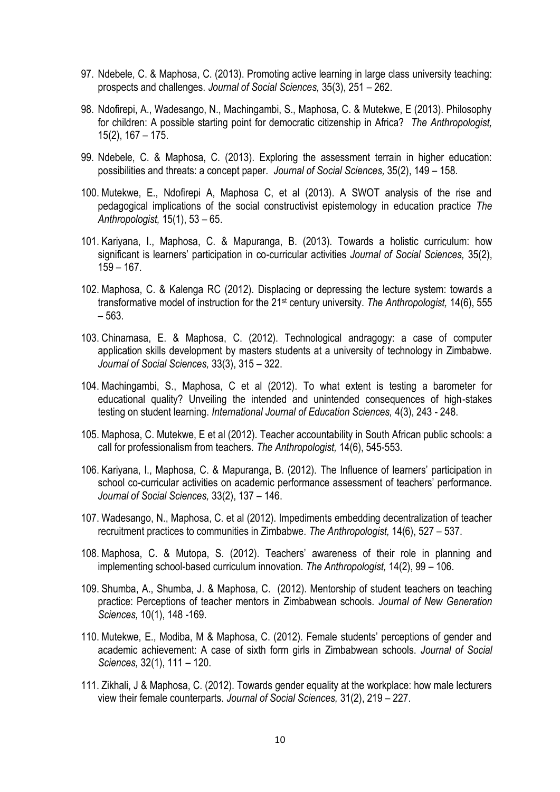- 97. Ndebele, C. & Maphosa, C. (2013). Promoting active learning in large class university teaching: prospects and challenges. *Journal of Social Sciences,* 35(3), 251 – 262.
- 98. Ndofirepi, A., Wadesango, N., Machingambi, S., Maphosa, C. & Mutekwe, E (2013). Philosophy for children: A possible starting point for democratic citizenship in Africa? *The Anthropologist,*  15(2), 167 – 175.
- 99. Ndebele, C. & Maphosa, C. (2013). Exploring the assessment terrain in higher education: possibilities and threats: a concept paper. *Journal of Social Sciences,* 35(2), 149 – 158.
- 100. Mutekwe, E., Ndofirepi A, Maphosa C, et al (2013). A SWOT analysis of the rise and pedagogical implications of the social constructivist epistemology in education practice *The Anthropologist,* 15(1), 53 – 65.
- 101. Kariyana, I., Maphosa, C. & Mapuranga, B. (2013). Towards a holistic curriculum: how significant is learners" participation in co-curricular activities *Journal of Social Sciences,* 35(2),  $159 - 167$ .
- 102. Maphosa, C. & Kalenga RC (2012). Displacing or depressing the lecture system: towards a transformative model of instruction for the 21st century university. *The Anthropologist,* 14(6), 555 – 563.
- 103. Chinamasa, E. & Maphosa, C. (2012). Technological andragogy: a case of computer application skills development by masters students at a university of technology in Zimbabwe. *Journal of Social Sciences,* 33(3), 315 – 322.
- 104. Machingambi, S., Maphosa, C et al (2012). To what extent is testing a barometer for educational quality? Unveiling the intended and unintended consequences of high-stakes testing on student learning. *International Journal of Education Sciences,* 4(3), 243 - 248.
- 105. Maphosa, C. Mutekwe, E et al (2012). Teacher accountability in South African public schools: a call for professionalism from teachers. *The Anthropologist,* 14(6), 545-553.
- 106. Kariyana, I., Maphosa, C. & Mapuranga, B. (2012). The Influence of learners" participation in school co-curricular activities on academic performance assessment of teachers' performance. *Journal of Social Sciences,* 33(2), 137 – 146.
- 107. Wadesango, N., Maphosa, C. et al (2012). Impediments embedding decentralization of teacher recruitment practices to communities in Zimbabwe. *The Anthropologist,* 14(6), 527 – 537.
- 108. Maphosa, C. & Mutopa, S. (2012). Teachers" awareness of their role in planning and implementing school-based curriculum innovation. *The Anthropologist,* 14(2), 99 – 106.
- 109. Shumba, A., Shumba, J. & Maphosa, C. (2012). Mentorship of student teachers on teaching practice: Perceptions of teacher mentors in Zimbabwean schools. *Journal of New Generation Sciences,* 10(1), 148 -169.
- 110. Mutekwe, E., Modiba, M & Maphosa, C. (2012). Female students" perceptions of gender and academic achievement: A case of sixth form girls in Zimbabwean schools. *Journal of Social Sciences,* 32(1), 111 – 120.
- 111. Zikhali, J & Maphosa, C. (2012). Towards gender equality at the workplace: how male lecturers view their female counterparts. *Journal of Social Sciences,* 31(2), 219 – 227.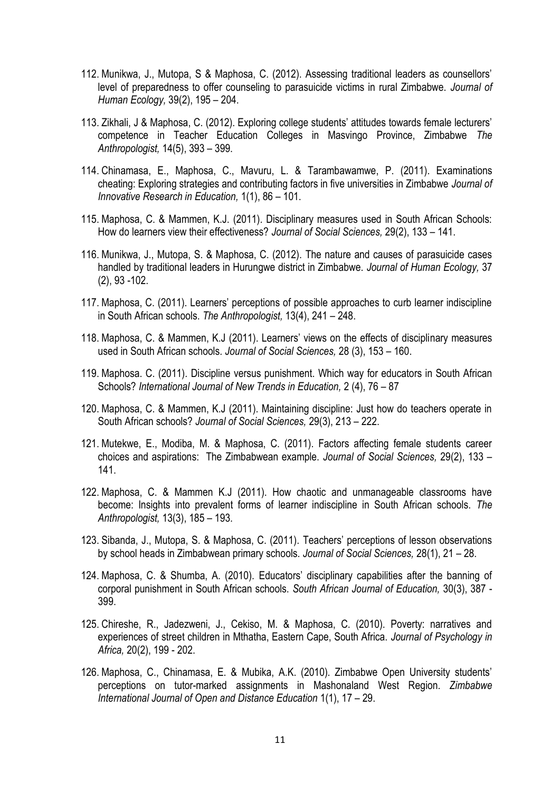- 112. Munikwa, J., Mutopa, S & Maphosa, C. (2012). Assessing traditional leaders as counsellors" level of preparedness to offer counseling to parasuicide victims in rural Zimbabwe. *Journal of Human Ecology,* 39(2), 195 – 204.
- 113. Zikhali, J & Maphosa, C. (2012). Exploring college students" attitudes towards female lecturers" competence in Teacher Education Colleges in Masvingo Province, Zimbabwe *The Anthropologist,* 14(5), 393 – 399.
- 114. Chinamasa, E., Maphosa, C., Mavuru, L. & Tarambawamwe, P. (2011). Examinations cheating: Exploring strategies and contributing factors in five universities in Zimbabwe *Journal of Innovative Research in Education,* 1(1), 86 – 101.
- 115. Maphosa, C. & Mammen, K.J. (2011). Disciplinary measures used in South African Schools: How do learners view their effectiveness? *Journal of Social Sciences,* 29(2), 133 – 141.
- 116. Munikwa, J., Mutopa, S. & Maphosa, C. (2012). The nature and causes of parasuicide cases handled by traditional leaders in Hurungwe district in Zimbabwe. *Journal of Human Ecology,* 37 (2), 93 -102.
- 117. Maphosa, C. (2011). Learners" perceptions of possible approaches to curb learner indiscipline in South African schools. *The Anthropologist,* 13(4), 241 – 248.
- 118. Maphosa, C. & Mammen, K.J (2011). Learners" views on the effects of disciplinary measures used in South African schools. *Journal of Social Sciences,* 28 (3), 153 – 160.
- 119. Maphosa. C. (2011). Discipline versus punishment. Which way for educators in South African Schools? *International Journal of New Trends in Education,* 2 (4), 76 – 87
- 120. Maphosa, C. & Mammen, K.J (2011). Maintaining discipline: Just how do teachers operate in South African schools? *Journal of Social Sciences,* 29(3), 213 – 222.
- 121. Mutekwe, E., Modiba, M. & Maphosa, C. (2011). Factors affecting female students career choices and aspirations: The Zimbabwean example. *Journal of Social Sciences,* 29(2), 133 – 141.
- 122. Maphosa, C. & Mammen K.J (2011). How chaotic and unmanageable classrooms have become: Insights into prevalent forms of learner indiscipline in South African schools. *The Anthropologist,* 13(3), 185 – 193.
- 123. Sibanda, J., Mutopa, S. & Maphosa, C. (2011). Teachers" perceptions of lesson observations by school heads in Zimbabwean primary schools. *Journal of Social Sciences,* 28(1), 21 – 28.
- 124. Maphosa, C. & Shumba, A. (2010). Educators" disciplinary capabilities after the banning of corporal punishment in South African schools. *South African Journal of Education,* 30(3), 387 - 399.
- 125. Chireshe, R., Jadezweni, J., Cekiso, M. & Maphosa, C. (2010). Poverty: narratives and experiences of street children in Mthatha, Eastern Cape, South Africa. *Journal of Psychology in Africa,* 20(2), 199 - 202.
- 126. Maphosa, C., Chinamasa, E. & Mubika, A.K. (2010). Zimbabwe Open University students" perceptions on tutor-marked assignments in Mashonaland West Region. *Zimbabwe International Journal of Open and Distance Education* 1(1), 17 – 29.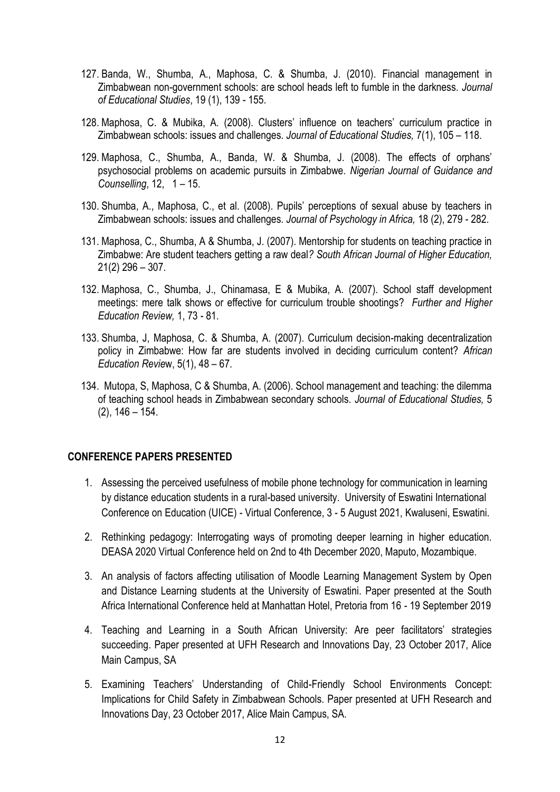- 127. Banda, W., Shumba, A., Maphosa, C. & Shumba, J. (2010). Financial management in Zimbabwean non-government schools: are school heads left to fumble in the darkness. *Journal of Educational Studies*, 19 (1), 139 - 155.
- 128. Maphosa, C. & Mubika, A. (2008). Clusters" influence on teachers" curriculum practice in Zimbabwean schools: issues and challenges. *Journal of Educational Studies,* 7(1), 105 – 118.
- 129. Maphosa, C., Shumba, A., Banda, W. & Shumba, J. (2008). The effects of orphans" psychosocial problems on academic pursuits in Zimbabwe. *Nigerian Journal of Guidance and Counselling*, 12, 1 – 15.
- 130. Shumba, A., Maphosa, C., et al. (2008). Pupils" perceptions of sexual abuse by teachers in Zimbabwean schools: issues and challenges. *Journal of Psychology in Africa,* 18 (2), 279 - 282.
- 131. Maphosa, C., Shumba, A & Shumba, J. (2007). Mentorship for students on teaching practice in Zimbabwe: Are student teachers getting a raw deal*? South African Journal of Higher Education,*  21(2) 296 – 307.
- 132. Maphosa, C., Shumba, J., Chinamasa, E & Mubika, A. (2007). School staff development meetings: mere talk shows or effective for curriculum trouble shootings? *Further and Higher Education Review,* 1, 73 - 81.
- 133. Shumba, J, Maphosa, C. & Shumba, A. (2007). Curriculum decision-making decentralization policy in Zimbabwe: How far are students involved in deciding curriculum content? *African Education Revie*w, 5(1), 48 – 67.
- 134. Mutopa, S, Maphosa, C & Shumba, A. (2006). School management and teaching: the dilemma of teaching school heads in Zimbabwean secondary schools. *Journal of Educational Studies,* 5  $(2)$ , 146 – 154.

#### **CONFERENCE PAPERS PRESENTED**

- 1. Assessing the perceived usefulness of mobile phone technology for communication in learning by distance education students in a rural-based university. University of Eswatini International Conference on Education (UICE) - Virtual Conference, 3 - 5 August 2021, Kwaluseni, Eswatini.
- 2. Rethinking pedagogy: Interrogating ways of promoting deeper learning in higher education. DEASA 2020 Virtual Conference held on 2nd to 4th December 2020, Maputo, Mozambique.
- 3. An analysis of factors affecting utilisation of Moodle Learning Management System by Open and Distance Learning students at the University of Eswatini. Paper presented at the South Africa International Conference held at Manhattan Hotel, Pretoria from 16 - 19 September 2019
- 4. Teaching and Learning in a South African University: Are peer facilitators" strategies succeeding. Paper presented at UFH Research and Innovations Day, 23 October 2017, Alice Main Campus, SA
- 5. Examining Teachers" Understanding of Child-Friendly School Environments Concept: Implications for Child Safety in Zimbabwean Schools. Paper presented at UFH Research and Innovations Day, 23 October 2017, Alice Main Campus, SA.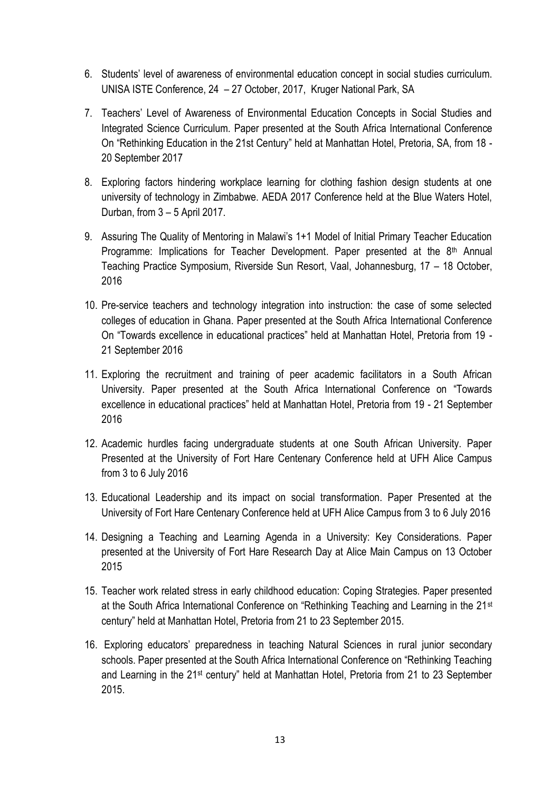- 6. Students" level of awareness of environmental education concept in social studies curriculum. UNISA ISTE Conference, 24 – 27 October, 2017, Kruger National Park, SA
- 7. Teachers" Level of Awareness of Environmental Education Concepts in Social Studies and Integrated Science Curriculum. Paper presented at the South Africa International Conference On "Rethinking Education in the 21st Century" held at Manhattan Hotel, Pretoria, SA, from 18 - 20 September 2017
- 8. Exploring factors hindering workplace learning for clothing fashion design students at one university of technology in Zimbabwe. AEDA 2017 Conference held at the Blue Waters Hotel, Durban, from 3 – 5 April 2017.
- 9. Assuring The Quality of Mentoring in Malawi's 1+1 Model of Initial Primary Teacher Education Programme: Implications for Teacher Development. Paper presented at the 8<sup>th</sup> Annual Teaching Practice Symposium, Riverside Sun Resort, Vaal, Johannesburg, 17 – 18 October, 2016
- 10. Pre-service teachers and technology integration into instruction: the case of some selected colleges of education in Ghana. Paper presented at the South Africa International Conference On "Towards excellence in educational practices" held at Manhattan Hotel, Pretoria from 19 - 21 September 2016
- 11. Exploring the recruitment and training of peer academic facilitators in a South African University. Paper presented at the South Africa International Conference on "Towards excellence in educational practices" held at Manhattan Hotel, Pretoria from 19 - 21 September 2016
- 12. Academic hurdles facing undergraduate students at one South African University. Paper Presented at the University of Fort Hare Centenary Conference held at UFH Alice Campus from 3 to 6 July 2016
- 13. Educational Leadership and its impact on social transformation. Paper Presented at the University of Fort Hare Centenary Conference held at UFH Alice Campus from 3 to 6 July 2016
- 14. Designing a Teaching and Learning Agenda in a University: Key Considerations. Paper presented at the University of Fort Hare Research Day at Alice Main Campus on 13 October 2015
- 15. Teacher work related stress in early childhood education: Coping Strategies. Paper presented at the South Africa International Conference on "Rethinking Teaching and Learning in the 21st century" held at Manhattan Hotel, Pretoria from 21 to 23 September 2015.
- 16. Exploring educators" preparedness in teaching Natural Sciences in rural junior secondary schools. Paper presented at the South Africa International Conference on "Rethinking Teaching and Learning in the 21st century" held at Manhattan Hotel, Pretoria from 21 to 23 September 2015.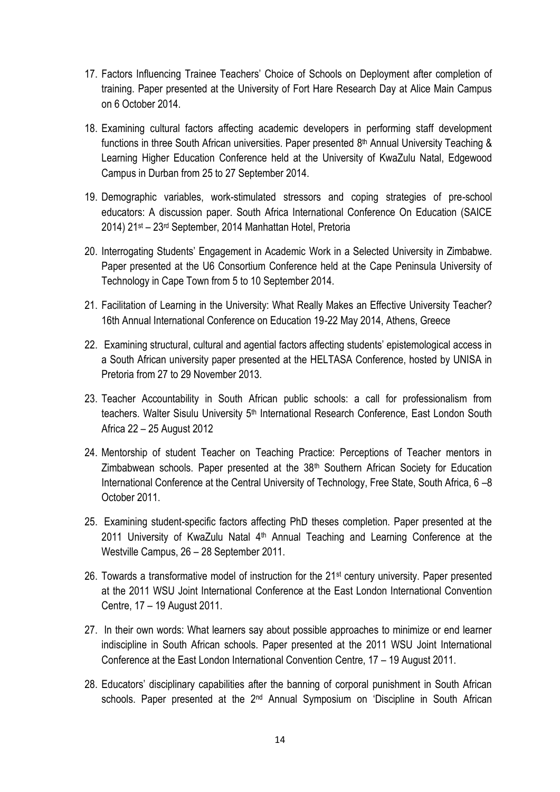- 17. Factors Influencing Trainee Teachers' Choice of Schools on Deployment after completion of training. Paper presented at the University of Fort Hare Research Day at Alice Main Campus on 6 October 2014.
- 18. Examining cultural factors affecting academic developers in performing staff development functions in three South African universities. Paper presented 8<sup>th</sup> Annual University Teaching & Learning Higher Education Conference held at the University of KwaZulu Natal, Edgewood Campus in Durban from 25 to 27 September 2014.
- 19. Demographic variables, work-stimulated stressors and coping strategies of pre-school educators: A discussion paper. South Africa International Conference On Education (SAICE 2014) 21st – 23rd September, 2014 Manhattan Hotel, Pretoria
- 20. Interrogating Students" Engagement in Academic Work in a Selected University in Zimbabwe. Paper presented at the U6 Consortium Conference held at the Cape Peninsula University of Technology in Cape Town from 5 to 10 September 2014.
- 21. Facilitation of Learning in the University: What Really Makes an Effective University Teacher? 16th Annual International Conference on Education 19-22 May 2014, Athens, Greece
- 22. Examining structural, cultural and agential factors affecting students' epistemological access in a South African university paper presented at the HELTASA Conference, hosted by UNISA in Pretoria from 27 to 29 November 2013.
- 23. Teacher Accountability in South African public schools: a call for professionalism from teachers. Walter Sisulu University 5<sup>th</sup> International Research Conference, East London South Africa 22 – 25 August 2012
- 24. Mentorship of student Teacher on Teaching Practice: Perceptions of Teacher mentors in Zimbabwean schools. Paper presented at the 38<sup>th</sup> Southern African Society for Education International Conference at the Central University of Technology, Free State, South Africa, 6 –8 October 2011.
- 25. Examining student-specific factors affecting PhD theses completion. Paper presented at the 2011 University of KwaZulu Natal  $4<sup>th</sup>$  Annual Teaching and Learning Conference at the Westville Campus, 26 – 28 September 2011.
- 26. Towards a transformative model of instruction for the 21st century university. Paper presented at the 2011 WSU Joint International Conference at the East London International Convention Centre, 17 – 19 August 2011.
- 27. In their own words: What learners say about possible approaches to minimize or end learner indiscipline in South African schools. Paper presented at the 2011 WSU Joint International Conference at the East London International Convention Centre, 17 – 19 August 2011.
- 28. Educators' disciplinary capabilities after the banning of corporal punishment in South African schools. Paper presented at the 2<sup>nd</sup> Annual Symposium on 'Discipline in South African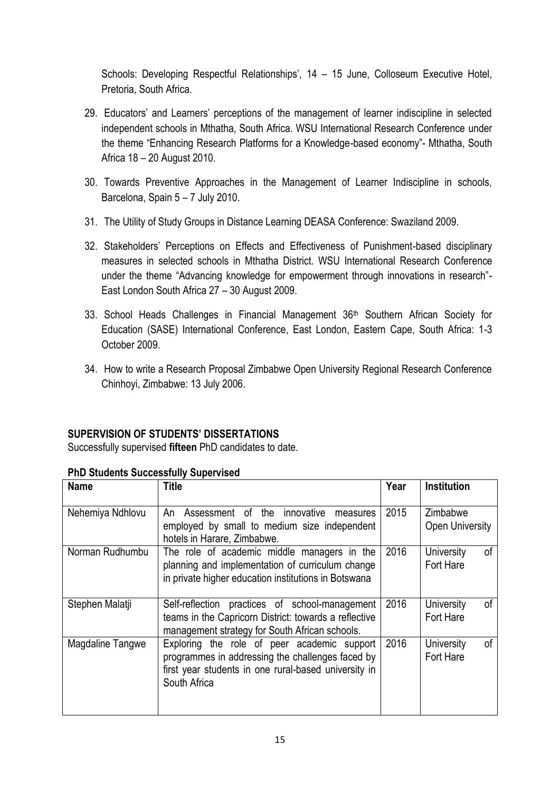Schools: Developing Respectful Relationships', 14 – 15 June, Colloseum Executive Hotel, Pretoria, South Africa.

- 29. Educators" and Learners" perceptions of the management of learner indiscipline in selected independent schools in Mthatha, South Africa. WSU International Research Conference under the theme "Enhancing Research Platforms for a Knowledge-based economy"- Mthatha, South Africa 18 – 20 August 2010.
- 30. Towards Preventive Approaches in the Management of Learner Indiscipline in schools, Barcelona, Spain 5 – 7 July 2010.
- 31. The Utility of Study Groups in Distance Learning DEASA Conference: Swaziland 2009.
- 32. Stakeholders" Perceptions on Effects and Effectiveness of Punishment-based disciplinary measures in selected schools in Mthatha District. WSU International Research Conference under the theme "Advancing knowledge for empowerment through innovations in research"- East London South Africa 27 – 30 August 2009.
- 33. School Heads Challenges in Financial Management 36<sup>th</sup> Southern African Society for Education (SASE) International Conference, East London, Eastern Cape, South Africa: 1-3 October 2009.
- 34. How to write a Research Proposal Zimbabwe Open University Regional Research Conference Chinhoyi, Zimbabwe: 13 July 2006.

## **SUPERVISION OF STUDENTS' DISSERTATIONS**

Successfully supervised **fifteen** PhD candidates to date.

| <b>Name</b>      | <b>Title</b>                                                                                                                                                            | Year | <b>Institution</b>                 |  |
|------------------|-------------------------------------------------------------------------------------------------------------------------------------------------------------------------|------|------------------------------------|--|
| Nehemiya Ndhlovu | Assessment of the innovative<br>An<br>measures                                                                                                                          | 2015 | Zimbabwe<br><b>Open University</b> |  |
|                  | employed by small to medium size independent<br>hotels in Harare, Zimbabwe.                                                                                             |      |                                    |  |
| Norman Rudhumbu  | The role of academic middle managers in the<br>planning and implementation of curriculum change<br>in private higher education institutions in Botswana                 | 2016 | University<br>of<br>Fort Hare      |  |
| Stephen Malatji  | Self-reflection practices of school-management<br>teams in the Capricorn District: towards a reflective<br>management strategy for South African schools.               | 2016 | οf<br>University<br>Fort Hare      |  |
| Magdaline Tangwe | Exploring the role of peer academic support<br>programmes in addressing the challenges faced by<br>first year students in one rural-based university in<br>South Africa | 2016 | University<br>0f<br>Fort Hare      |  |

### **PhD Students Successfully Supervised**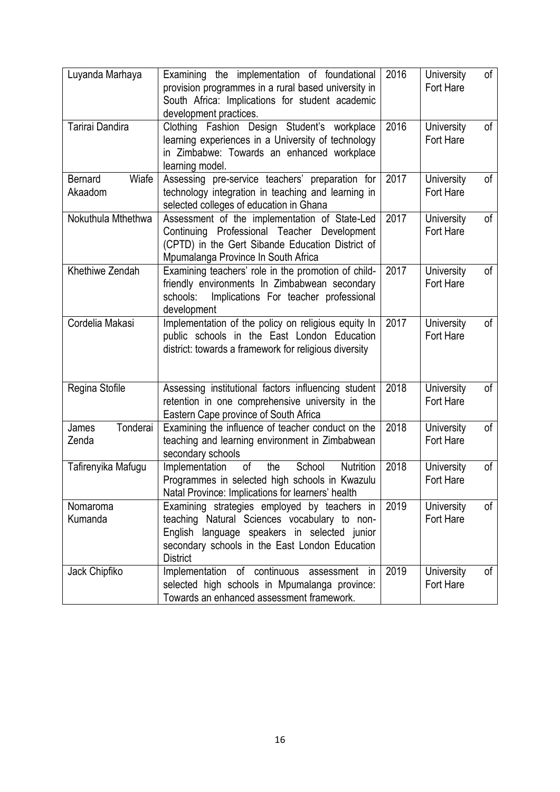| Luyanda Marhaya                    | Examining the implementation of foundational<br>provision programmes in a rural based university in<br>South Africa: Implications for student academic<br>development practices.                                  | 2016 | University<br>Fort Hare | of            |
|------------------------------------|-------------------------------------------------------------------------------------------------------------------------------------------------------------------------------------------------------------------|------|-------------------------|---------------|
| Tarirai Dandira                    | Clothing Fashion Design Student's workplace<br>learning experiences in a University of technology<br>in Zimbabwe: Towards an enhanced workplace<br>learning model.                                                | 2016 | University<br>Fort Hare | of            |
| Wiafe<br><b>Bernard</b><br>Akaadom | Assessing pre-service teachers' preparation for<br>technology integration in teaching and learning in<br>selected colleges of education in Ghana                                                                  | 2017 | University<br>Fort Hare | of            |
| Nokuthula Mthethwa                 | Assessment of the implementation of State-Led<br>Continuing Professional Teacher Development<br>(CPTD) in the Gert Sibande Education District of<br>Mpumalanga Province In South Africa                           | 2017 | University<br>Fort Hare | of            |
| Khethiwe Zendah                    | Examining teachers' role in the promotion of child-<br>friendly environments In Zimbabwean secondary<br>Implications For teacher professional<br>schools:<br>development                                          | 2017 | University<br>Fort Hare | of            |
| Cordelia Makasi                    | Implementation of the policy on religious equity In<br>public schools in the East London Education<br>district: towards a framework for religious diversity                                                       | 2017 | University<br>Fort Hare | $\mathsf{of}$ |
| Regina Stofile                     | Assessing institutional factors influencing student<br>retention in one comprehensive university in the<br>Eastern Cape province of South Africa                                                                  | 2018 | University<br>Fort Hare | of            |
| Tonderai<br>James<br>Zenda         | Examining the influence of teacher conduct on the<br>teaching and learning environment in Zimbabwean<br>secondary schools                                                                                         | 2018 | University<br>Fort Hare | of            |
| Tafirenyika Mafugu                 | Nutrition<br>of<br>Implementation<br>the<br>School<br>Programmes in selected high schools in Kwazulu<br>Natal Province: Implications for learners' health                                                         | 2018 | University<br>Fort Hare | of            |
| Nomaroma<br>Kumanda                | Examining strategies employed by teachers in<br>teaching Natural Sciences vocabulary to non-<br>English language speakers in selected junior<br>secondary schools in the East London Education<br><b>District</b> | 2019 | University<br>Fort Hare | $\circ$ f     |
| Jack Chipfiko                      | Implementation of continuous assessment in<br>selected high schools in Mpumalanga province:<br>Towards an enhanced assessment framework.                                                                          | 2019 | University<br>Fort Hare | 0f            |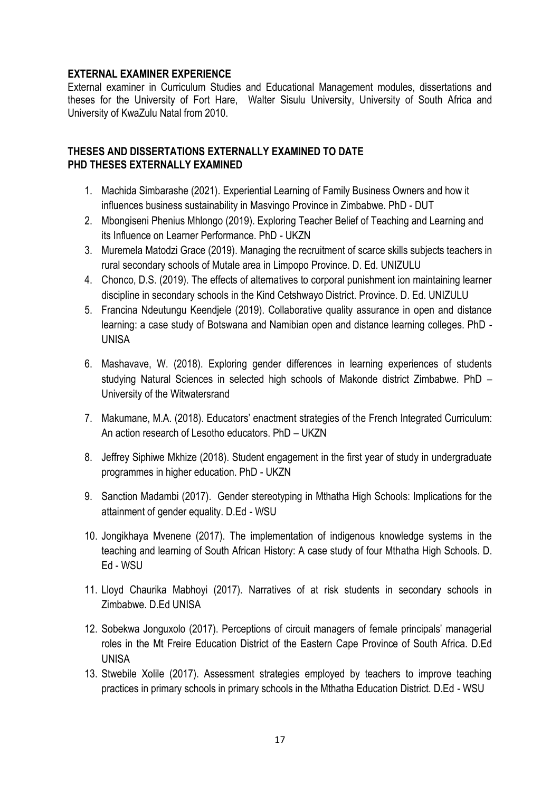#### **EXTERNAL EXAMINER EXPERIENCE**

External examiner in Curriculum Studies and Educational Management modules, dissertations and theses for the University of Fort Hare, Walter Sisulu University, University of South Africa and University of KwaZulu Natal from 2010.

#### **THESES AND DISSERTATIONS EXTERNALLY EXAMINED TO DATE PHD THESES EXTERNALLY EXAMINED**

- 1. Machida Simbarashe (2021). Experiential Learning of Family Business Owners and how it influences business sustainability in Masvingo Province in Zimbabwe. PhD - DUT
- 2. Mbongiseni Phenius Mhlongo (2019). Exploring Teacher Belief of Teaching and Learning and its Influence on Learner Performance. PhD - UKZN
- 3. Muremela Matodzi Grace (2019). Managing the recruitment of scarce skills subjects teachers in rural secondary schools of Mutale area in Limpopo Province. D. Ed. UNIZULU
- 4. Chonco, D.S. (2019). The effects of alternatives to corporal punishment ion maintaining learner discipline in secondary schools in the Kind Cetshwayo District. Province. D. Ed. UNIZULU
- 5. Francina Ndeutungu Keendjele (2019). Collaborative quality assurance in open and distance learning: a case study of Botswana and Namibian open and distance learning colleges. PhD - UNISA
- 6. Mashavave, W. (2018). Exploring gender differences in learning experiences of students studying Natural Sciences in selected high schools of Makonde district Zimbabwe. PhD – University of the Witwatersrand
- 7. Makumane, M.A. (2018). Educators' enactment strategies of the French Integrated Curriculum: An action research of Lesotho educators. PhD – UKZN
- 8. Jeffrey Siphiwe Mkhize (2018). Student engagement in the first year of study in undergraduate programmes in higher education. PhD - UKZN
- 9. Sanction Madambi (2017). Gender stereotyping in Mthatha High Schools: Implications for the attainment of gender equality. D.Ed - WSU
- 10. Jongikhaya Mvenene (2017). The implementation of indigenous knowledge systems in the teaching and learning of South African History: A case study of four Mthatha High Schools. D. Ed - WSU
- 11. Lloyd Chaurika Mabhoyi (2017). Narratives of at risk students in secondary schools in Zimbabwe. D.Ed UNISA
- 12. Sobekwa Jonguxolo (2017). Perceptions of circuit managers of female principals" managerial roles in the Mt Freire Education District of the Eastern Cape Province of South Africa. D.Ed UNISA
- 13. Stwebile Xolile (2017). Assessment strategies employed by teachers to improve teaching practices in primary schools in primary schools in the Mthatha Education District. D.Ed - WSU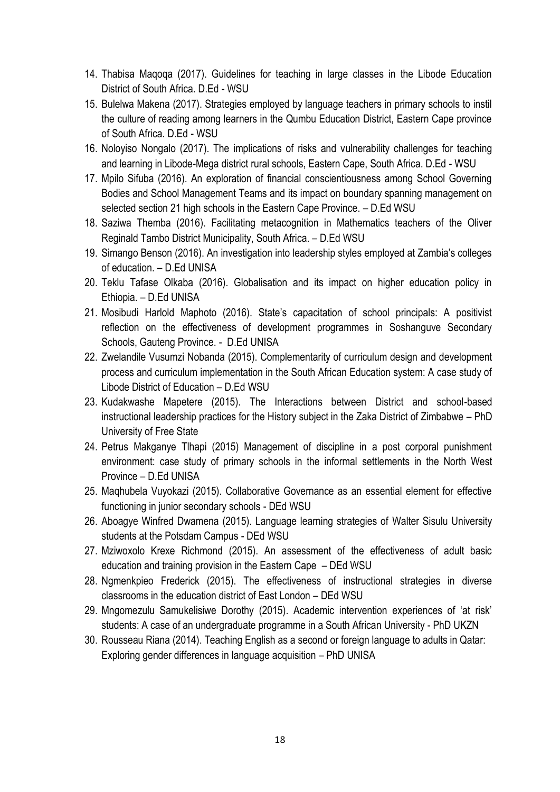- 14. Thabisa Maqoqa (2017). Guidelines for teaching in large classes in the Libode Education District of South Africa. D.Ed - WSU
- 15. Bulelwa Makena (2017). Strategies employed by language teachers in primary schools to instil the culture of reading among learners in the Qumbu Education District, Eastern Cape province of South Africa. D.Ed - WSU
- 16. Noloyiso Nongalo (2017). The implications of risks and vulnerability challenges for teaching and learning in Libode-Mega district rural schools, Eastern Cape, South Africa. D.Ed - WSU
- 17. Mpilo Sifuba (2016). An exploration of financial conscientiousness among School Governing Bodies and School Management Teams and its impact on boundary spanning management on selected section 21 high schools in the Eastern Cape Province. – D.Ed WSU
- 18. Saziwa Themba (2016). Facilitating metacognition in Mathematics teachers of the Oliver Reginald Tambo District Municipality, South Africa. – D.Ed WSU
- 19. Simango Benson (2016). An investigation into leadership styles employed at Zambia"s colleges of education. – D.Ed UNISA
- 20. Teklu Tafase Olkaba (2016). Globalisation and its impact on higher education policy in Ethiopia. – D.Ed UNISA
- 21. Mosibudi Harlold Maphoto (2016). State"s capacitation of school principals: A positivist reflection on the effectiveness of development programmes in Soshanguve Secondary Schools, Gauteng Province. - D.Ed UNISA
- 22. Zwelandile Vusumzi Nobanda (2015). Complementarity of curriculum design and development process and curriculum implementation in the South African Education system: A case study of Libode District of Education – D.Ed WSU
- 23. Kudakwashe Mapetere (2015). The Interactions between District and school-based instructional leadership practices for the History subject in the Zaka District of Zimbabwe – PhD University of Free State
- 24. Petrus Makganye Tlhapi (2015) Management of discipline in a post corporal punishment environment: case study of primary schools in the informal settlements in the North West Province – D.Ed UNISA
- 25. Maqhubela Vuyokazi (2015). Collaborative Governance as an essential element for effective functioning in junior secondary schools - DEd WSU
- 26. Aboagye Winfred Dwamena (2015). Language learning strategies of Walter Sisulu University students at the Potsdam Campus - DEd WSU
- 27. Mziwoxolo Krexe Richmond (2015). An assessment of the effectiveness of adult basic education and training provision in the Eastern Cape – DEd WSU
- 28. Ngmenkpieo Frederick (2015). The effectiveness of instructional strategies in diverse classrooms in the education district of East London – DEd WSU
- 29. Mngomezulu Samukelisiwe Dorothy (2015). Academic intervention experiences of "at risk" students: A case of an undergraduate programme in a South African University - PhD UKZN
- 30. Rousseau Riana (2014). Teaching English as a second or foreign language to adults in Qatar: Exploring gender differences in language acquisition – PhD UNISA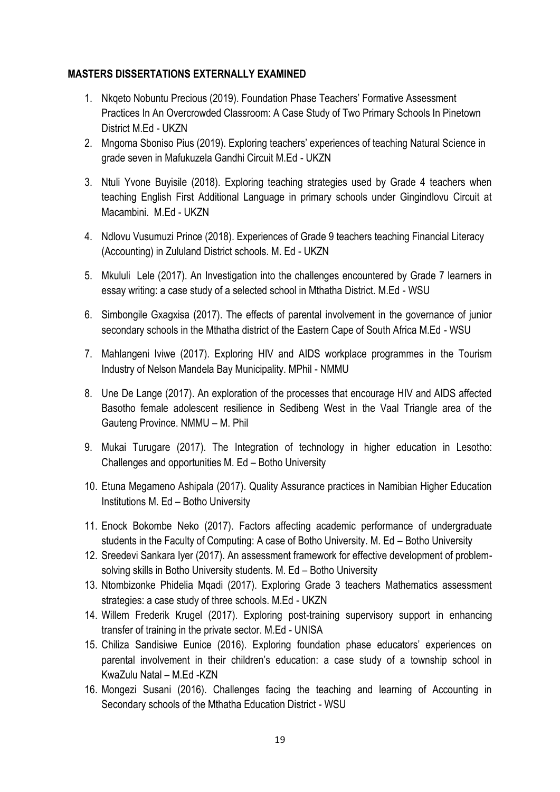#### **MASTERS DISSERTATIONS EXTERNALLY EXAMINED**

- 1. Nkqeto Nobuntu Precious (2019). Foundation Phase Teachers" Formative Assessment Practices In An Overcrowded Classroom: A Case Study of Two Primary Schools In Pinetown District M.Ed - UKZN
- 2. Mngoma Sboniso Pius (2019). Exploring teachers' experiences of teaching Natural Science in grade seven in Mafukuzela Gandhi Circuit M.Ed - UKZN
- 3. Ntuli Yvone Buyisile (2018). Exploring teaching strategies used by Grade 4 teachers when teaching English First Additional Language in primary schools under Gingindlovu Circuit at Macambini. M.Ed - UKZN
- 4. Ndlovu Vusumuzi Prince (2018). Experiences of Grade 9 teachers teaching Financial Literacy (Accounting) in Zululand District schools. M. Ed - UKZN
- 5. Mkululi Lele (2017). An Investigation into the challenges encountered by Grade 7 learners in essay writing: a case study of a selected school in Mthatha District. M.Ed - WSU
- 6. Simbongile Gxagxisa (2017). The effects of parental involvement in the governance of junior secondary schools in the Mthatha district of the Eastern Cape of South Africa M.Ed - WSU
- 7. Mahlangeni Iviwe (2017). Exploring HIV and AIDS workplace programmes in the Tourism Industry of Nelson Mandela Bay Municipality. MPhil - NMMU
- 8. Une De Lange (2017). An exploration of the processes that encourage HIV and AIDS affected Basotho female adolescent resilience in Sedibeng West in the Vaal Triangle area of the Gauteng Province. NMMU – M. Phil
- 9. Mukai Turugare (2017). The Integration of technology in higher education in Lesotho: Challenges and opportunities M. Ed – Botho University
- 10. Etuna Megameno Ashipala (2017). Quality Assurance practices in Namibian Higher Education Institutions M. Ed – Botho University
- 11. Enock Bokombe Neko (2017). Factors affecting academic performance of undergraduate students in the Faculty of Computing: A case of Botho University. M. Ed – Botho University
- 12. Sreedevi Sankara Iyer (2017). An assessment framework for effective development of problemsolving skills in Botho University students. M. Ed – Botho University
- 13. Ntombizonke Phidelia Mqadi (2017). Exploring Grade 3 teachers Mathematics assessment strategies: a case study of three schools. M.Ed - UKZN
- 14. Willem Frederik Krugel (2017). Exploring post-training supervisory support in enhancing transfer of training in the private sector. M.Ed - UNISA
- 15. Chiliza Sandisiwe Eunice (2016). Exploring foundation phase educators" experiences on parental involvement in their children's education: a case study of a township school in KwaZulu Natal – M.Ed -KZN
- 16. Mongezi Susani (2016). Challenges facing the teaching and learning of Accounting in Secondary schools of the Mthatha Education District - WSU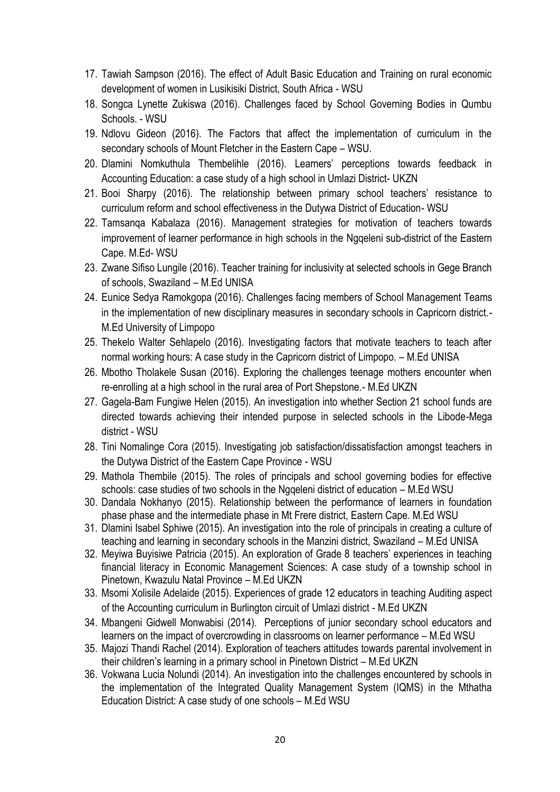- 17. Tawiah Sampson (2016). The effect of Adult Basic Education and Training on rural economic development of women in Lusikisiki District, South Africa - WSU
- 18. Songca Lynette Zukiswa (2016). Challenges faced by School Governing Bodies in Qumbu Schools. - WSU
- 19. Ndlovu Gideon (2016). The Factors that affect the implementation of curriculum in the secondary schools of Mount Fletcher in the Eastern Cape – WSU.
- 20. Dlamini Nomkuthula Thembelihle (2016). Learners" perceptions towards feedback in Accounting Education: a case study of a high school in Umlazi District- UKZN
- 21. Booi Sharpy (2016). The relationship between primary school teachers' resistance to curriculum reform and school effectiveness in the Dutywa District of Education- WSU
- 22. Tamsanqa Kabalaza (2016). Management strategies for motivation of teachers towards improvement of learner performance in high schools in the Ngqeleni sub-district of the Eastern Cape. M.Ed- WSU
- 23. Zwane Sifiso Lungile (2016). Teacher training for inclusivity at selected schools in Gege Branch of schools, Swaziland – M.Ed UNISA
- 24. Eunice Sedya Ramokgopa (2016). Challenges facing members of School Management Teams in the implementation of new disciplinary measures in secondary schools in Capricorn district.- M.Ed University of Limpopo
- 25. Thekelo Walter Sehlapelo (2016). Investigating factors that motivate teachers to teach after normal working hours: A case study in the Capricorn district of Limpopo. – M.Ed UNISA
- 26. Mbotho Tholakele Susan (2016). Exploring the challenges teenage mothers encounter when re-enrolling at a high school in the rural area of Port Shepstone.- M.Ed UKZN
- 27. Gagela-Bam Fungiwe Helen (2015). An investigation into whether Section 21 school funds are directed towards achieving their intended purpose in selected schools in the Libode-Mega district - WSU
- 28. Tini Nomalinge Cora (2015). Investigating job satisfaction/dissatisfaction amongst teachers in the Dutywa District of the Eastern Cape Province - WSU
- 29. Mathola Thembile (2015). The roles of principals and school governing bodies for effective schools: case studies of two schools in the Ngqeleni district of education – M.Ed WSU
- 30. Dandala Nokhanyo (2015). Relationship between the performance of learners in foundation phase phase and the intermediate phase in Mt Frere district, Eastern Cape. M.Ed WSU
- 31. Dlamini Isabel Sphiwe (2015). An investigation into the role of principals in creating a culture of teaching and learning in secondary schools in the Manzini district, Swaziland – M.Ed UNISA
- 32. Meyiwa Buyisiwe Patricia (2015). An exploration of Grade 8 teachers' experiences in teaching financial literacy in Economic Management Sciences: A case study of a township school in Pinetown, Kwazulu Natal Province – M.Ed UKZN
- 33. Msomi Xolisile Adelaide (2015). Experiences of grade 12 educators in teaching Auditing aspect of the Accounting curriculum in Burlington circuit of Umlazi district - M.Ed UKZN
- 34. Mbangeni Gidwell Monwabisi (2014). Perceptions of junior secondary school educators and learners on the impact of overcrowding in classrooms on learner performance – M.Ed WSU
- 35. Majozi Thandi Rachel (2014). Exploration of teachers attitudes towards parental involvement in their children"s learning in a primary school in Pinetown District – M.Ed UKZN
- 36. Vokwana Lucia Nolundi (2014). An investigation into the challenges encountered by schools in the implementation of the Integrated Quality Management System (IQMS) in the Mthatha Education District: A case study of one schools – M.Ed WSU